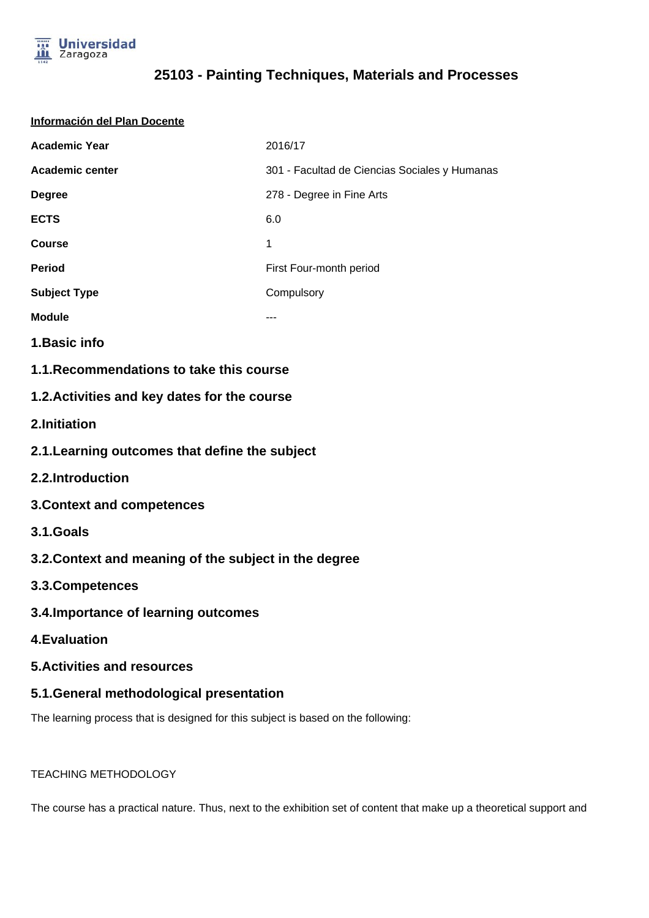

| Información del Plan Docente                                                      |                                               |  |  |  |
|-----------------------------------------------------------------------------------|-----------------------------------------------|--|--|--|
| <b>Academic Year</b>                                                              | 2016/17                                       |  |  |  |
| <b>Academic center</b>                                                            | 301 - Facultad de Ciencias Sociales y Humanas |  |  |  |
| <b>Degree</b>                                                                     | 278 - Degree in Fine Arts                     |  |  |  |
| <b>ECTS</b>                                                                       | 6.0                                           |  |  |  |
| <b>Course</b>                                                                     | 1                                             |  |  |  |
| <b>Period</b>                                                                     | First Four-month period                       |  |  |  |
| <b>Subject Type</b>                                                               | Compulsory                                    |  |  |  |
| <b>Module</b>                                                                     |                                               |  |  |  |
| 1. Basic info                                                                     |                                               |  |  |  |
| 1.1. Recommendations to take this course                                          |                                               |  |  |  |
| 1.2. Activities and key dates for the course                                      |                                               |  |  |  |
| 2.Initiation                                                                      |                                               |  |  |  |
| 2.1. Learning outcomes that define the subject                                    |                                               |  |  |  |
| 2.2.Introduction                                                                  |                                               |  |  |  |
| <b>3. Context and competences</b>                                                 |                                               |  |  |  |
| 3.1.Goals                                                                         |                                               |  |  |  |
| 3.2. Context and meaning of the subject in the degree                             |                                               |  |  |  |
| 3.3. Competences                                                                  |                                               |  |  |  |
| 3.4. Importance of learning outcomes                                              |                                               |  |  |  |
| <b>4.Evaluation</b>                                                               |                                               |  |  |  |
| <b>5.Activities and resources</b>                                                 |                                               |  |  |  |
| 5.1. General methodological presentation                                          |                                               |  |  |  |
| The learning process that is designed for this subject is based on the following: |                                               |  |  |  |

#### TEACHING METHODOLOGY

The course has a practical nature. Thus, next to the exhibition set of content that make up a theoretical support and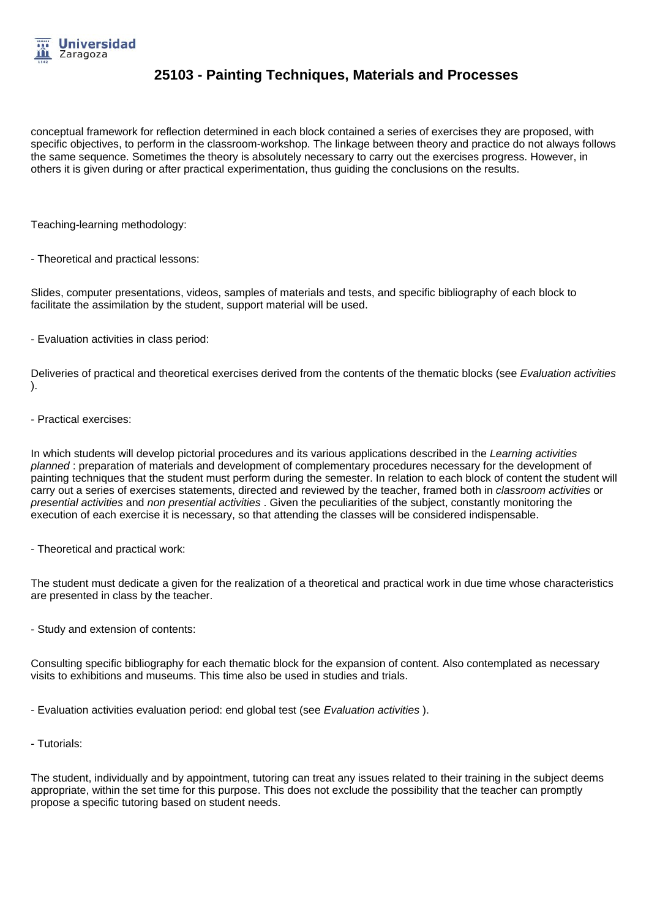

conceptual framework for reflection determined in each block contained a series of exercises they are proposed, with specific objectives, to perform in the classroom-workshop. The linkage between theory and practice do not always follows the same sequence. Sometimes the theory is absolutely necessary to carry out the exercises progress. However, in others it is given during or after practical experimentation, thus guiding the conclusions on the results.

Teaching-learning methodology:

- Theoretical and practical lessons:

Slides, computer presentations, videos, samples of materials and tests, and specific bibliography of each block to facilitate the assimilation by the student, support material will be used.

- Evaluation activities in class period:

Deliveries of practical and theoretical exercises derived from the contents of the thematic blocks (see Evaluation activities ).

- Practical exercises:

In which students will develop pictorial procedures and its various applications described in the Learning activities planned : preparation of materials and development of complementary procedures necessary for the development of painting techniques that the student must perform during the semester. In relation to each block of content the student will carry out a series of exercises statements, directed and reviewed by the teacher, framed both in classroom activities or presential activities and non presential activities . Given the peculiarities of the subject, constantly monitoring the execution of each exercise it is necessary, so that attending the classes will be considered indispensable.

- Theoretical and practical work:

The student must dedicate a given for the realization of a theoretical and practical work in due time whose characteristics are presented in class by the teacher.

- Study and extension of contents:

Consulting specific bibliography for each thematic block for the expansion of content. Also contemplated as necessary visits to exhibitions and museums. This time also be used in studies and trials.

- Evaluation activities evaluation period: end global test (see Evaluation activities).

- Tutorials:

The student, individually and by appointment, tutoring can treat any issues related to their training in the subject deems appropriate, within the set time for this purpose. This does not exclude the possibility that the teacher can promptly propose a specific tutoring based on student needs.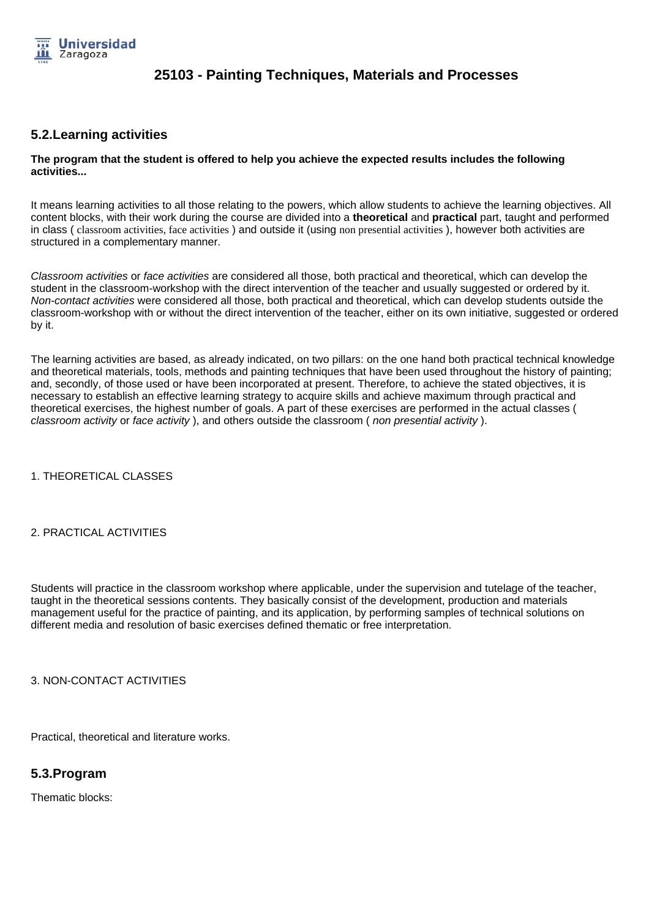

### **5.2.Learning activities**

#### **The program that the student is offered to help you achieve the expected results includes the following activities...**

It means learning activities to all those relating to the powers, which allow students to achieve the learning objectives. All content blocks, with their work during the course are divided into a **theoretical** and **practical** part, taught and performed in class ( classroom activities, face activities ) and outside it (using non presential activities ), however both activities are structured in a complementary manner.

Classroom activities or face activities are considered all those, both practical and theoretical, which can develop the student in the classroom-workshop with the direct intervention of the teacher and usually suggested or ordered by it. Non-contact activities were considered all those, both practical and theoretical, which can develop students outside the classroom-workshop with or without the direct intervention of the teacher, either on its own initiative, suggested or ordered by it.

The learning activities are based, as already indicated, on two pillars: on the one hand both practical technical knowledge and theoretical materials, tools, methods and painting techniques that have been used throughout the history of painting; and, secondly, of those used or have been incorporated at present. Therefore, to achieve the stated objectives, it is necessary to establish an effective learning strategy to acquire skills and achieve maximum through practical and theoretical exercises, the highest number of goals. A part of these exercises are performed in the actual classes ( classroom activity or face activity), and others outside the classroom (non presential activity).

1. THEORETICAL CLASSES

#### 2. PRACTICAL ACTIVITIES

Students will practice in the classroom workshop where applicable, under the supervision and tutelage of the teacher, taught in the theoretical sessions contents. They basically consist of the development, production and materials management useful for the practice of painting, and its application, by performing samples of technical solutions on different media and resolution of basic exercises defined thematic or free interpretation.

3. NON-CONTACT ACTIVITIES

Practical, theoretical and literature works.

### **5.3.Program**

Thematic blocks: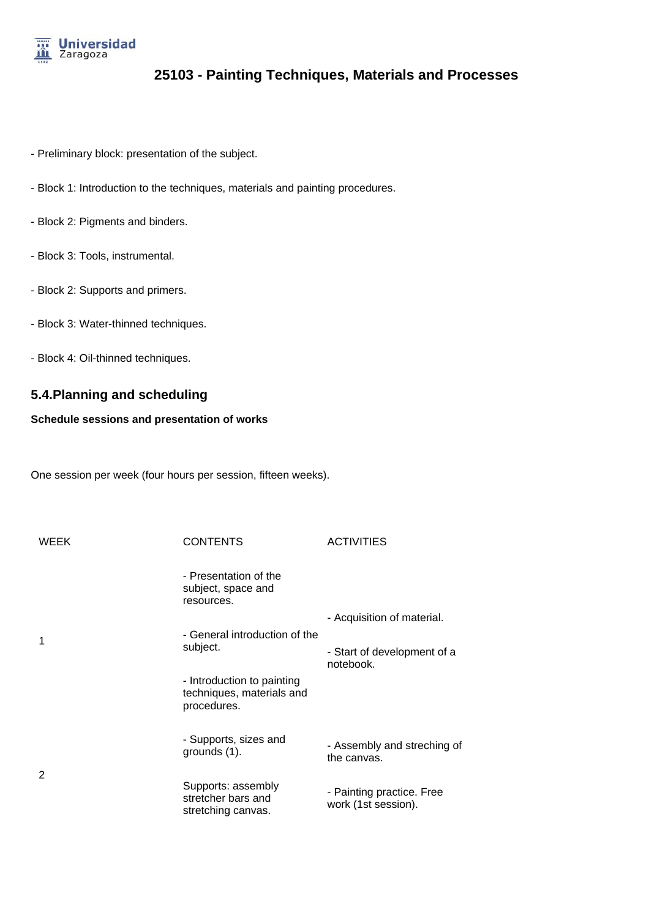

- Preliminary block: presentation of the subject.
- Block 1: Introduction to the techniques, materials and painting procedures.
- Block 2: Pigments and binders.
- Block 3: Tools, instrumental.
- Block 2: Supports and primers.
- Block 3: Water-thinned techniques.
- Block 4: Oil-thinned techniques.

### **5.4.Planning and scheduling**

#### **Schedule sessions and presentation of works**

One session per week (four hours per session, fifteen weeks).

| <b>WEEK</b> | <b>CONTENTS</b>                                                        | <b>ACTIVITIES</b>                                |
|-------------|------------------------------------------------------------------------|--------------------------------------------------|
|             | - Presentation of the<br>subject, space and<br>resources.              |                                                  |
|             |                                                                        | - Acquisition of material.                       |
| 1           | - General introduction of the                                          |                                                  |
|             | subject.                                                               | - Start of development of a<br>notebook.         |
|             | - Introduction to painting<br>techniques, materials and<br>procedures. |                                                  |
|             | - Supports, sizes and<br>grounds (1).                                  | - Assembly and streching of<br>the canvas.       |
| 2           | Supports: assembly<br>stretcher bars and<br>stretching canvas.         | - Painting practice. Free<br>work (1st session). |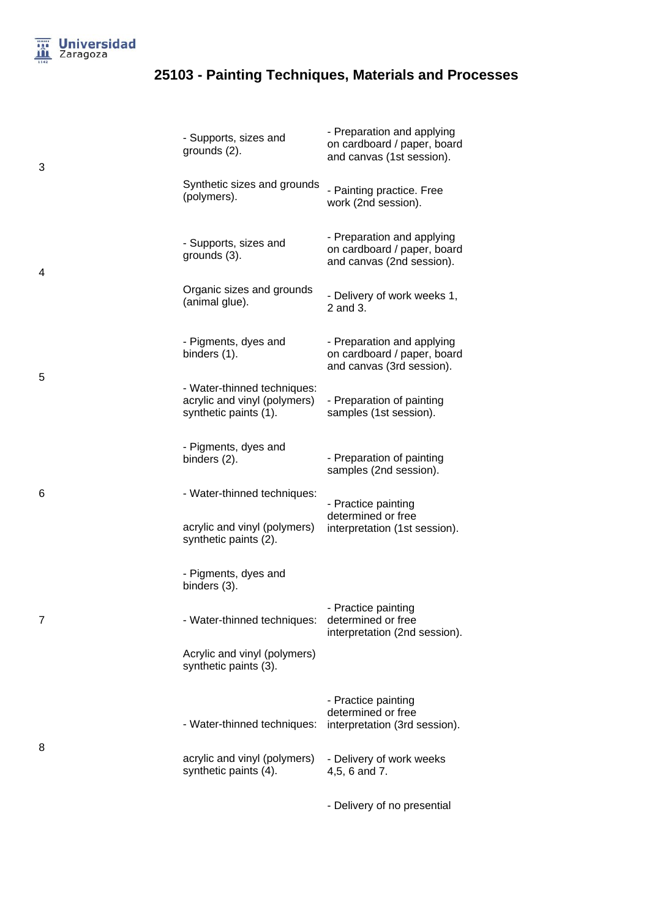

3

4

5

6

7

8

# **25103 - Painting Techniques, Materials and Processes**

| - Supports, sizes and<br>grounds (2).                                                | - Preparation and applying<br>on cardboard / paper, board<br>and canvas (1st session). |
|--------------------------------------------------------------------------------------|----------------------------------------------------------------------------------------|
| Synthetic sizes and grounds<br>(polymers).                                           | - Painting practice. Free<br>work (2nd session).                                       |
| - Supports, sizes and<br>grounds (3).                                                | - Preparation and applying<br>on cardboard / paper, board<br>and canvas (2nd session). |
| Organic sizes and grounds<br>(animal glue).                                          | - Delivery of work weeks 1,<br>2 and 3.                                                |
| - Pigments, dyes and<br>binders (1).                                                 | - Preparation and applying<br>on cardboard / paper, board<br>and canvas (3rd session). |
| - Water-thinned techniques:<br>acrylic and vinyl (polymers)<br>synthetic paints (1). | - Preparation of painting<br>samples (1st session).                                    |
| - Pigments, dyes and<br>binders (2).                                                 | - Preparation of painting<br>samples (2nd session).                                    |
| - Water-thinned techniques:                                                          | - Practice painting                                                                    |
| acrylic and vinyl (polymers)<br>synthetic paints (2).                                | determined or free<br>interpretation (1st session).                                    |
| - Pigments, dyes and<br>binders (3).                                                 |                                                                                        |
| - Water-thinned techniques:                                                          | - Practice painting<br>determined or free<br>interpretation (2nd session).             |
| Acrylic and vinyl (polymers)<br>synthetic paints (3).                                |                                                                                        |
| - Water-thinned techniques:                                                          | - Practice painting<br>determined or free<br>interpretation (3rd session).             |
| acrylic and vinyl (polymers)<br>synthetic paints (4).                                | - Delivery of work weeks<br>4,5, 6 and 7.                                              |
|                                                                                      |                                                                                        |

- Delivery of no presential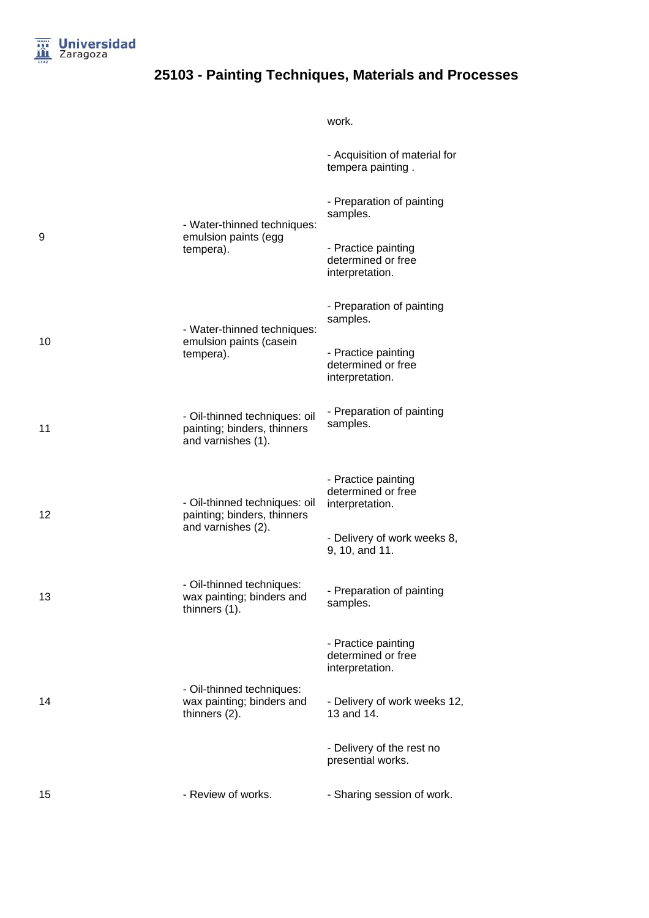

work.

|    |                                                                                    | - Acquisition of material for<br>tempera painting.           |
|----|------------------------------------------------------------------------------------|--------------------------------------------------------------|
|    | - Water-thinned techniques:                                                        | - Preparation of painting<br>samples.                        |
| 9  | emulsion paints (egg<br>tempera).                                                  | - Practice painting<br>determined or free<br>interpretation. |
|    | - Water-thinned techniques:                                                        | - Preparation of painting<br>samples.                        |
| 10 | emulsion paints (casein<br>tempera).                                               | - Practice painting<br>determined or free<br>interpretation. |
| 11 | - Oil-thinned techniques: oil<br>painting; binders, thinners<br>and varnishes (1). | - Preparation of painting<br>samples.                        |
| 12 | - Oil-thinned techniques: oil<br>painting; binders, thinners<br>and varnishes (2). | - Practice painting<br>determined or free<br>interpretation. |
|    |                                                                                    | - Delivery of work weeks 8,<br>9, 10, and 11.                |
| 13 | - Oil-thinned techniques:<br>wax painting; binders and<br>thinners (1).            | - Preparation of painting<br>samples.                        |
|    |                                                                                    | - Practice painting<br>determined or free<br>interpretation. |
| 14 | - Oil-thinned techniques:<br>wax painting; binders and<br>thinners (2).            | - Delivery of work weeks 12,<br>13 and 14.                   |
|    |                                                                                    | - Delivery of the rest no<br>presential works.               |
| 15 | - Review of works.                                                                 | - Sharing session of work.                                   |